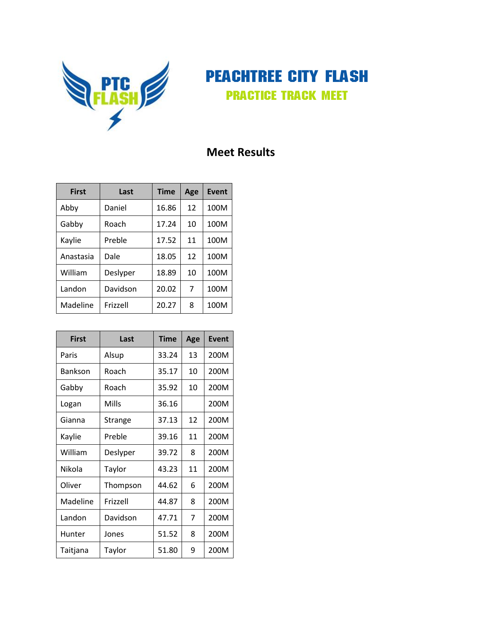

PEACHTREE CITY FLASH Practice Track Meet

## **Meet Results**

| <b>First</b> | Last     | <b>Time</b> | Age | Event |
|--------------|----------|-------------|-----|-------|
| Abby         | Daniel   | 16.86       | 12  | 100M  |
| Gabby        | Roach    | 17.24       | 10  | 100M  |
| Kaylie       | Preble   | 17.52       | 11  | 100M  |
| Anastasia    | Dale     | 18.05       | 12  | 100M  |
| William      | Deslyper | 18.89       | 10  | 100M  |
| Landon       | Davidson | 20.02       | 7   | 100M  |
| Madeline     | Frizzell | 20.27       | 8   | 100M  |

| <b>First</b> | Last     | <b>Time</b> | Age | <b>Event</b> |
|--------------|----------|-------------|-----|--------------|
| Paris        | Alsup    | 33.24       | 13  | 200M         |
| Bankson      | Roach    | 35.17       | 10  | 200M         |
| Gabby        | Roach    | 35.92       | 10  | 200M         |
| Logan        | Mills    | 36.16       |     | 200M         |
| Gianna       | Strange  | 37.13       | 12  | 200M         |
| Kaylie       | Preble   | 39.16       | 11  | 200M         |
| William      | Deslyper | 39.72       | 8   | 200M         |
| Nikola       | Taylor   | 43.23       | 11  | 200M         |
| Oliver       | Thompson | 44.62       | 6   | 200M         |
| Madeline     | Frizzell | 44.87       | 8   | 200M         |
| Landon       | Davidson | 47.71       | 7   | 200M         |
| Hunter       | Jones    | 51.52       | 8   | 200M         |
| Taitjana     | Taylor   | 51.80       | 9   | 200M         |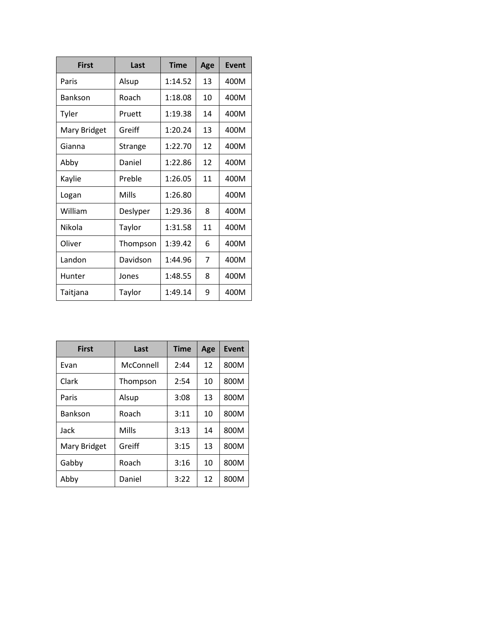| <b>First</b> | Last     | <b>Time</b> | Age | Event |
|--------------|----------|-------------|-----|-------|
| Paris        | Alsup    | 1:14.52     | 13  | 400M  |
| Bankson      | Roach    | 1:18.08     | 10  | 400M  |
| Tyler        | Pruett   | 1:19.38     | 14  | 400M  |
| Mary Bridget | Greiff   | 1:20.24     | 13  | 400M  |
| Gianna       | Strange  | 1:22.70     | 12  | 400M  |
| Abby         | Daniel   | 1:22.86     | 12  | 400M  |
| Kaylie       | Preble   | 1:26.05     | 11  | 400M  |
| Logan        | Mills    | 1:26.80     |     | 400M  |
| William      | Deslyper | 1:29.36     | 8   | 400M  |
| Nikola       | Taylor   | 1:31.58     | 11  | 400M  |
| Oliver       | Thompson | 1:39.42     | 6   | 400M  |
| Landon       | Davidson | 1:44.96     | 7   | 400M  |
| Hunter       | Jones    | 1:48.55     | 8   | 400M  |
| Taitjana     | Taylor   | 1:49.14     | 9   | 400M  |

| <b>First</b>   | Last<br><b>Time</b> |      | Age | Event |
|----------------|---------------------|------|-----|-------|
| Evan           | McConnell           | 2:44 | 12  | 800M  |
| Clark          | Thompson            | 2:54 | 10  | 800M  |
| Paris          | Alsup               | 3:08 | 13  | 800M  |
| <b>Bankson</b> | Roach               | 3:11 | 10  | 800M  |
| Jack           | Mills               | 3:13 | 14  | 800M  |
| Mary Bridget   | Greiff              | 3:15 | 13  | 800M  |
| Gabby          | Roach               | 3:16 | 10  | 800M  |
| Abby           | Daniel              | 3:22 | 12  | 800M  |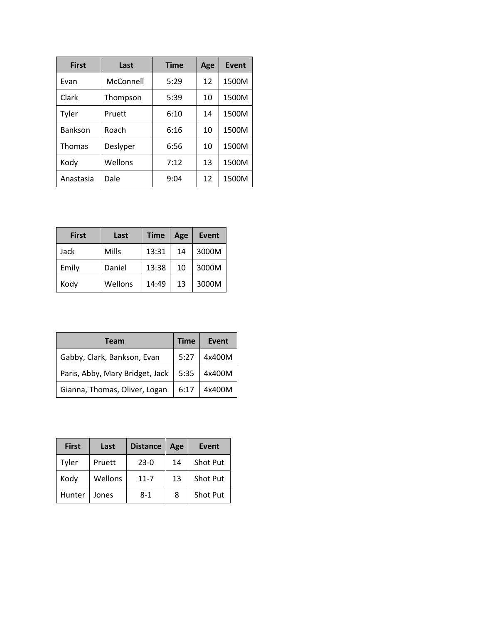| <b>First</b>   | Last      | <b>Time</b> | Age | <b>Event</b> |
|----------------|-----------|-------------|-----|--------------|
| Evan           | McConnell | 5:29        | 12  | 1500M        |
| Clark          | Thompson  | 5:39        | 10  | 1500M        |
| Tyler          | Pruett    | 6:10        | 14  | 1500M        |
| <b>Bankson</b> | Roach     | 6:16        | 10  | 1500M        |
| <b>Thomas</b>  | Deslyper  | 6:56        | 10  | 1500M        |
| Kody           | Wellons   | 7:12        | 13  | 1500M        |
| Anastasia      | Dale      | 9:04        | 12  | 1500M        |

| <b>First</b> | Last    | <b>Time</b> | Age | Event |
|--------------|---------|-------------|-----|-------|
| Jack         | Mills   | 13:31       | 14  | 3000M |
| Emily        | Daniel  | 13:38       | 10  | 3000M |
| Kody         | Wellons | 14:49       | 13  | 3000M |

| <b>Team</b>                     | <b>Time</b> | <b>Event</b> |
|---------------------------------|-------------|--------------|
| Gabby, Clark, Bankson, Evan     | 5:27        | 4x400M       |
| Paris, Abby, Mary Bridget, Jack | 5:35        | 4x400M       |
| Gianna, Thomas, Oliver, Logan   | 6:17        | 4x400M       |

| <b>First</b> | Last    | <b>Distance</b> | Age | Event           |
|--------------|---------|-----------------|-----|-----------------|
| Tyler        | Pruett  | $23-0$          | 14  | Shot Put        |
| Kody         | Wellons | $11 - 7$        | 13  | <b>Shot Put</b> |
| Hunter       | Jones   | $8-1$           | 8   | Shot Put        |